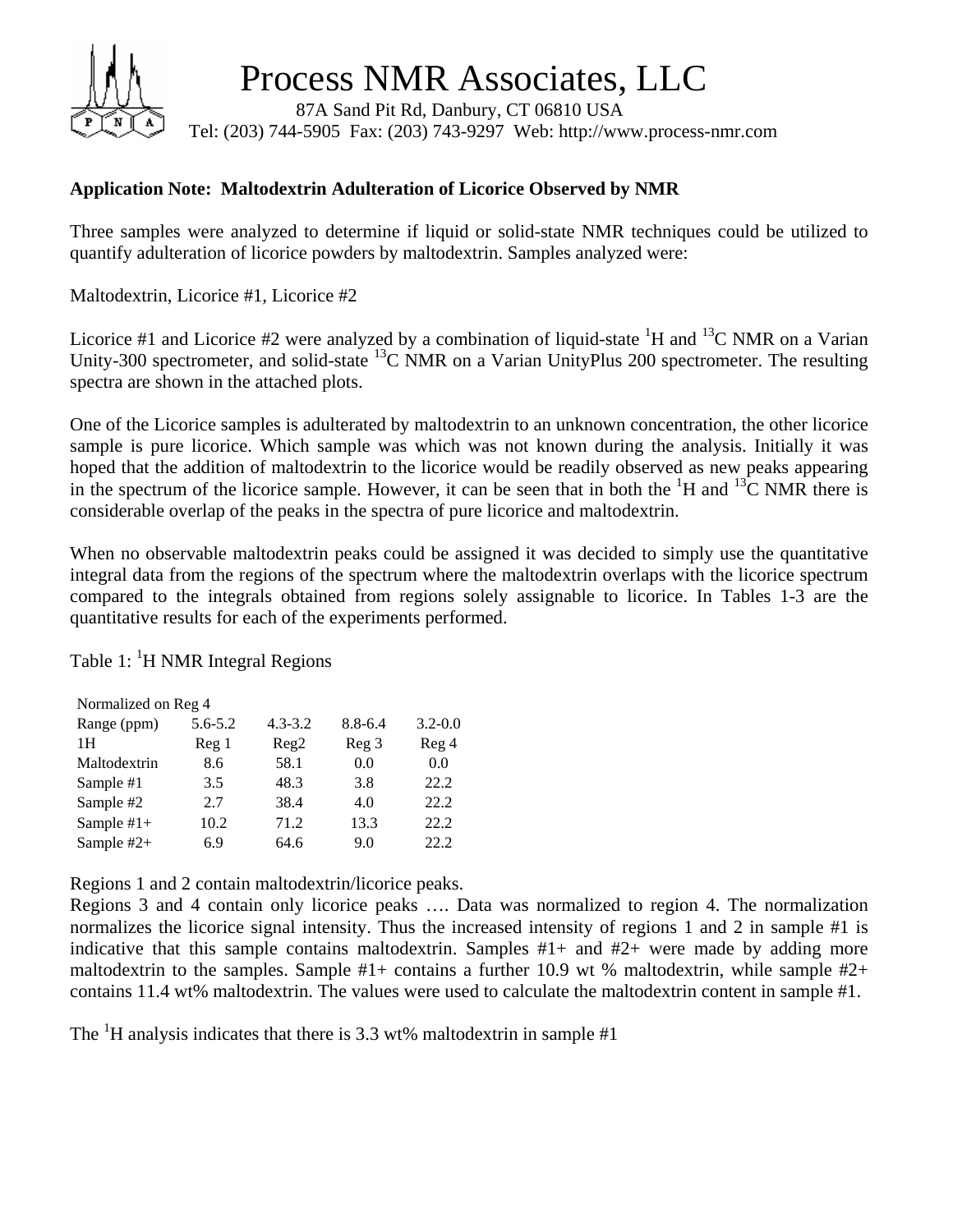

Process NMR Associates, LLC

 87A Sand Pit Rd, Danbury, CT 06810 USA Tel: (203) 744-5905 Fax: (203) 743-9297 Web: http://www.process-nmr.com

## **Application Note: Maltodextrin Adulteration of Licorice Observed by NMR**

Three samples were analyzed to determine if liquid or solid-state NMR techniques could be utilized to quantify adulteration of licorice powders by maltodextrin. Samples analyzed were:

Maltodextrin, Licorice #1, Licorice #2

Licorice #1 and Licorice #2 were analyzed by a combination of liquid-state  ${}^{1}H$  and  ${}^{13}C$  NMR on a Varian Unity-300 spectrometer, and solid-state <sup>13</sup>C NMR on a Varian UnityPlus 200 spectrometer. The resulting spectra are shown in the attached plots.

One of the Licorice samples is adulterated by maltodextrin to an unknown concentration, the other licorice sample is pure licorice. Which sample was which was not known during the analysis. Initially it was hoped that the addition of maltodextrin to the licorice would be readily observed as new peaks appearing in the spectrum of the licorice sample. However, it can be seen that in both the  ${}^{1}H$  and  ${}^{13}C$  NMR there is considerable overlap of the peaks in the spectra of pure licorice and maltodextrin.

When no observable maltodextrin peaks could be assigned it was decided to simply use the quantitative integral data from the regions of the spectrum where the maltodextrin overlaps with the licorice spectrum compared to the integrals obtained from regions solely assignable to licorice. In Tables 1-3 are the quantitative results for each of the experiments performed.

Table 1:  ${}^{1}$ H NMR Integral Regions

| Normalized on Reg 4 |             |             |                  |             |  |  |  |  |
|---------------------|-------------|-------------|------------------|-------------|--|--|--|--|
| Range (ppm)         | $5.6 - 5.2$ | $4.3 - 3.2$ | $8.8 - 6.4$      | $3.2 - 0.0$ |  |  |  |  |
| 1H                  | Reg 1       | Reg2        | Reg <sub>3</sub> | Reg 4       |  |  |  |  |
| Maltodextrin        | 8.6         | 58.1        | 0.0              | 0.0         |  |  |  |  |
| Sample #1           | 3.5         | 48.3        | 3.8              | 22.2        |  |  |  |  |
| Sample #2           | 2.7         | 38.4        | 4.0              | 22.2        |  |  |  |  |
| Sample $#1+$        | 10.2        | 71.2        | 13.3             | 22.2        |  |  |  |  |
| Sample $#2+$        | 6.9         | 64.6        | 9.0              | 22.2        |  |  |  |  |

Regions 1 and 2 contain maltodextrin/licorice peaks.

Regions 3 and 4 contain only licorice peaks …. Data was normalized to region 4. The normalization normalizes the licorice signal intensity. Thus the increased intensity of regions 1 and 2 in sample #1 is indicative that this sample contains maltodextrin. Samples #1+ and #2+ were made by adding more maltodextrin to the samples. Sample  $#1+$  contains a further 10.9 wt % maltodextrin, while sample  $#2+$ contains 11.4 wt% maltodextrin. The values were used to calculate the maltodextrin content in sample #1.

The  ${}^{1}H$  analysis indicates that there is 3.3 wt% maltodextrin in sample #1